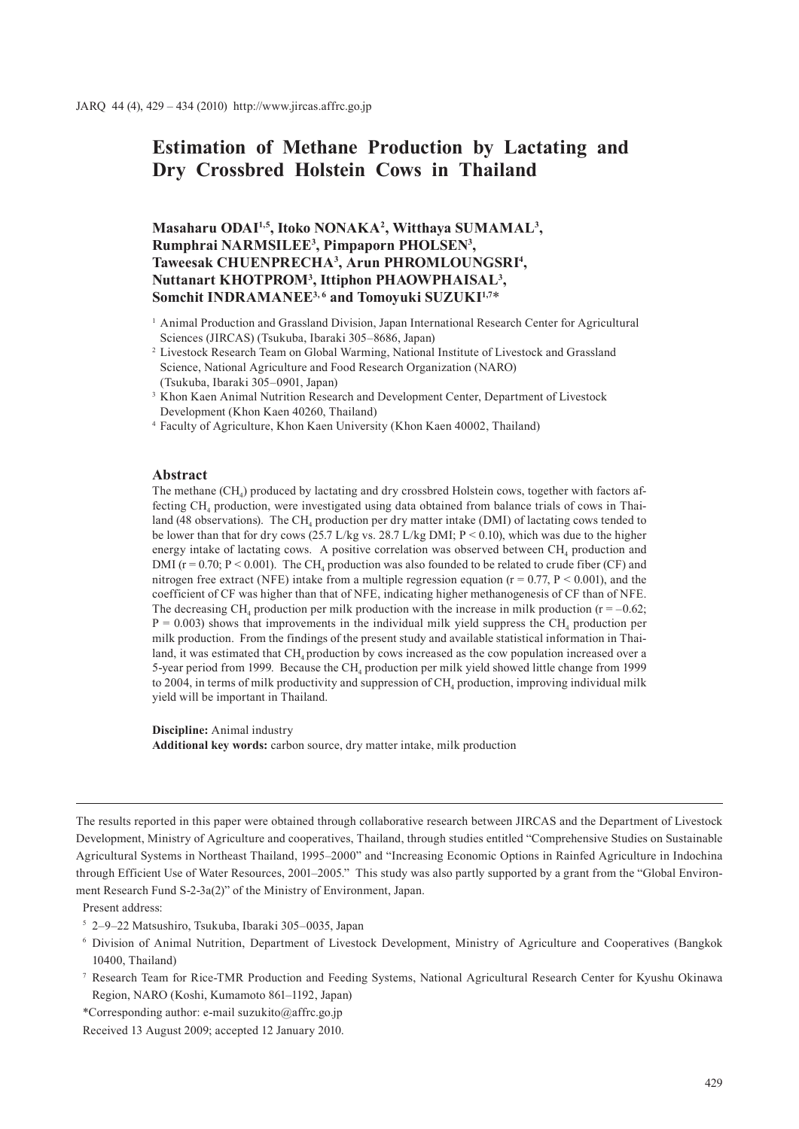# **Estimation of Methane Production by Lactating and Dry Crossbred Holstein Cows in Thailand**

## **Masaharu ODAI1,5, Itoko NONAKA2 , Witthaya SUMAMAL3 , Rumphrai NARMSILEE3 , Pimpaporn PHOLSEN3 , Taweesak CHUENPRECHA3 , Arun PHROMLOUNGSRI4 , Nuttanart KHOTPROM3 , Ittiphon PHAOWPHAISAL3 ,**  Somchit INDRAMANEE<sup>3,6</sup> and Tomoyuki SUZUKI<sup>1,7\*</sup>

- <sup>2</sup> Livestock Research Team on Global Warming, National Institute of Livestock and Grassland Science, National Agriculture and Food Research Organization (NARO) (Tsukuba, Ibaraki 305–0901, Japan)
- <sup>3</sup> Khon Kaen Animal Nutrition Research and Development Center, Department of Livestock Development (Khon Kaen 40260, Thailand)
- <sup>4</sup> Faculty of Agriculture, Khon Kaen University (Khon Kaen 40002, Thailand)

#### **Abstract**

The methane  $(CH<sub>4</sub>)$  produced by lactating and dry crossbred Holstein cows, together with factors affecting CH<sub>4</sub> production, were investigated using data obtained from balance trials of cows in Thailand (48 observations). The CH<sub>4</sub> production per dry matter intake (DMI) of lactating cows tended to be lower than that for dry cows (25.7 L/kg vs. 28.7 L/kg DMI; P < 0.10), which was due to the higher energy intake of lactating cows. A positive correlation was observed between  $CH<sub>4</sub>$  production and DMI ( $r = 0.70$ ;  $P < 0.001$ ). The CH<sub>4</sub> production was also founded to be related to crude fiber (CF) and nitrogen free extract (NFE) intake from a multiple regression equation ( $r = 0.77$ ,  $P < 0.001$ ), and the coefficient of CF was higher than that of NFE, indicating higher methanogenesis of CF than of NFE. The decreasing CH<sub>4</sub> production per milk production with the increase in milk production ( $r = -0.62$ ;  $P = 0.003$ ) shows that improvements in the individual milk yield suppress the CH<sub>4</sub> production per milk production. From the findings of the present study and available statistical information in Thailand, it was estimated that  $CH_4$  production by cows increased as the cow population increased over a 5-year period from 1999. Because the  $CH<sub>4</sub>$  production per milk yield showed little change from 1999 to 2004, in terms of milk productivity and suppression of  $CH<sub>4</sub>$  production, improving individual milk yield will be important in Thailand.

**Discipline:** Animal industry **Additional key words:** carbon source, dry matter intake, milk production

Present address:

<sup>5</sup> 2–9–22 Matsushiro, Tsukuba, Ibaraki 305–0035, Japan

- <sup>6</sup> Division of Animal Nutrition, Department of Livestock Development, Ministry of Agriculture and Cooperatives (Bangkok 10400, Thailand)
- <sup>7</sup> Research Team for Rice-TMR Production and Feeding Systems, National Agricultural Research Center for Kyushu Okinawa Region, NARO (Koshi, Kumamoto 861–1192, Japan)
- \*Corresponding author: e-mail suzukito@affrc.go.jp

<sup>1</sup> Animal Production and Grassland Division, Japan International Research Center for Agricultural Sciences (JIRCAS) (Tsukuba, Ibaraki 305–8686, Japan)

The results reported in this paper were obtained through collaborative research between JIRCAS and the Department of Livestock Development, Ministry of Agriculture and cooperatives, Thailand, through studies entitled "Comprehensive Studies on Sustainable Agricultural Systems in Northeast Thailand, 1995–2000" and "Increasing Economic Options in Rainfed Agriculture in Indochina through Efficient Use of Water Resources, 2001–2005." This study was also partly supported by a grant from the "Global Environment Research Fund S-2-3a(2)" of the Ministry of Environment, Japan.

Received 13 August 2009; accepted 12 January 2010.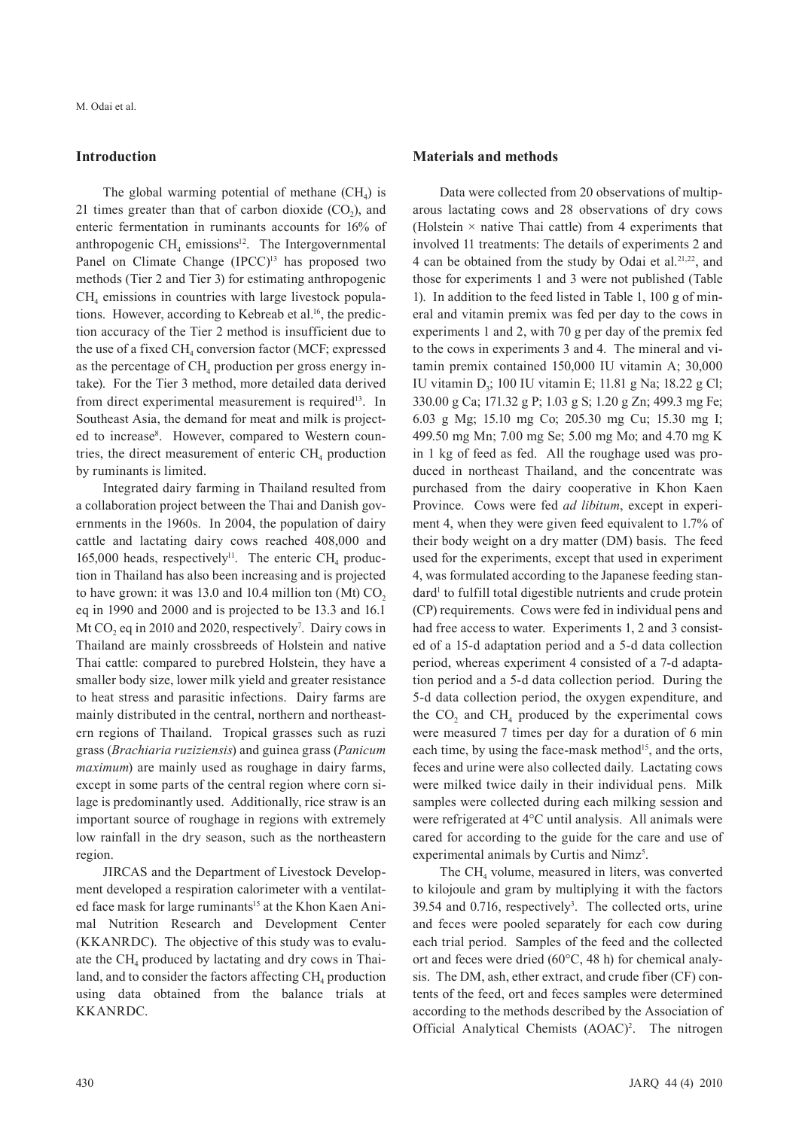#### **Introduction**

The global warming potential of methane  $(CH<sub>4</sub>)$  is 21 times greater than that of carbon dioxide  $(CO<sub>2</sub>)$ , and enteric fermentation in ruminants accounts for 16% of anthropogenic CH $\mu$  emissions<sup>12</sup>. The Intergovernmental Panel on Climate Change (IPCC)<sup>13</sup> has proposed two methods (Tier 2 and Tier 3) for estimating anthropogenic CH<sub>4</sub> emissions in countries with large livestock populations. However, according to Kebreab et al.<sup>16</sup>, the prediction accuracy of the Tier 2 method is insufficient due to the use of a fixed  $CH<sub>4</sub>$  conversion factor (MCF; expressed as the percentage of  $CH<sub>4</sub>$  production per gross energy intake). For the Tier 3 method, more detailed data derived from direct experimental measurement is required<sup>13</sup>. In Southeast Asia, the demand for meat and milk is projected to increase<sup>8</sup>. However, compared to Western countries, the direct measurement of enteric  $CH<sub>4</sub>$  production by ruminants is limited.

Integrated dairy farming in Thailand resulted from a collaboration project between the Thai and Danish governments in the 1960s. In 2004, the population of dairy cattle and lactating dairy cows reached 408,000 and 165,000 heads, respectively<sup>11</sup>. The enteric CH<sub>4</sub> production in Thailand has also been increasing and is projected to have grown: it was 13.0 and 10.4 million ton (Mt)  $CO<sub>2</sub>$ eq in 1990 and 2000 and is projected to be 13.3 and 16.1 Mt  $CO<sub>2</sub>$  eq in 2010 and 2020, respectively<sup>7</sup>. Dairy cows in Thailand are mainly crossbreeds of Holstein and native Thai cattle: compared to purebred Holstein, they have a smaller body size, lower milk yield and greater resistance to heat stress and parasitic infections. Dairy farms are mainly distributed in the central, northern and northeastern regions of Thailand. Tropical grasses such as ruzi grass (*Brachiaria ruziziensis*) and guinea grass (*Panicum maximum*) are mainly used as roughage in dairy farms, except in some parts of the central region where corn silage is predominantly used. Additionally, rice straw is an important source of roughage in regions with extremely low rainfall in the dry season, such as the northeastern region.

JIRCAS and the Department of Livestock Development developed a respiration calorimeter with a ventilated face mask for large ruminants<sup>15</sup> at the Khon Kaen Animal Nutrition Research and Development Center (KKANRDC). The objective of this study was to evaluate the  $CH<sub>4</sub>$  produced by lactating and dry cows in Thailand, and to consider the factors affecting  $CH<sub>4</sub>$  production using data obtained from the balance trials at KKANRDC.

#### **Materials and methods**

Data were collected from 20 observations of multiparous lactating cows and 28 observations of dry cows (Holstein  $\times$  native Thai cattle) from 4 experiments that involved 11 treatments: The details of experiments 2 and 4 can be obtained from the study by Odai et al.<sup>21,22</sup>, and those for experiments 1 and 3 were not published (Table 1). In addition to the feed listed in Table 1, 100 g of mineral and vitamin premix was fed per day to the cows in experiments 1 and 2, with 70 g per day of the premix fed to the cows in experiments 3 and 4. The mineral and vitamin premix contained 150,000 IU vitamin A; 30,000 IU vitamin D<sub>3</sub>; 100 IU vitamin E; 11.81 g Na; 18.22 g Cl; 330.00 g Ca; 171.32 g P; 1.03 g S; 1.20 g Zn; 499.3 mg Fe; 6.03 g Mg; 15.10 mg Co; 205.30 mg Cu; 15.30 mg I; 499.50 mg Mn; 7.00 mg Se; 5.00 mg Mo; and 4.70 mg K in 1 kg of feed as fed. All the roughage used was produced in northeast Thailand, and the concentrate was purchased from the dairy cooperative in Khon Kaen Province. Cows were fed *ad libitum*, except in experiment 4, when they were given feed equivalent to 1.7% of their body weight on a dry matter (DM) basis. The feed used for the experiments, except that used in experiment 4, was formulated according to the Japanese feeding standard<sup>1</sup> to fulfill total digestible nutrients and crude protein (CP) requirements. Cows were fed in individual pens and had free access to water. Experiments 1, 2 and 3 consisted of a 15-d adaptation period and a 5-d data collection period, whereas experiment 4 consisted of a 7-d adaptation period and a 5-d data collection period. During the 5-d data collection period, the oxygen expenditure, and the  $CO<sub>2</sub>$  and  $CH<sub>4</sub>$  produced by the experimental cows were measured 7 times per day for a duration of 6 min each time, by using the face-mask method<sup>15</sup>, and the orts, feces and urine were also collected daily. Lactating cows were milked twice daily in their individual pens. Milk samples were collected during each milking session and were refrigerated at 4°C until analysis. All animals were cared for according to the guide for the care and use of experimental animals by Curtis and Nimz<sup>5</sup>.

The  $CH<sub>4</sub>$  volume, measured in liters, was converted to kilojoule and gram by multiplying it with the factors 39.54 and 0.716, respectively<sup>3</sup>. The collected orts, urine and feces were pooled separately for each cow during each trial period. Samples of the feed and the collected ort and feces were dried (60°C, 48 h) for chemical analysis. The DM, ash, ether extract, and crude fiber (CF) contents of the feed, ort and feces samples were determined according to the methods described by the Association of Official Analytical Chemists (AOAC)<sup>2</sup>. The nitrogen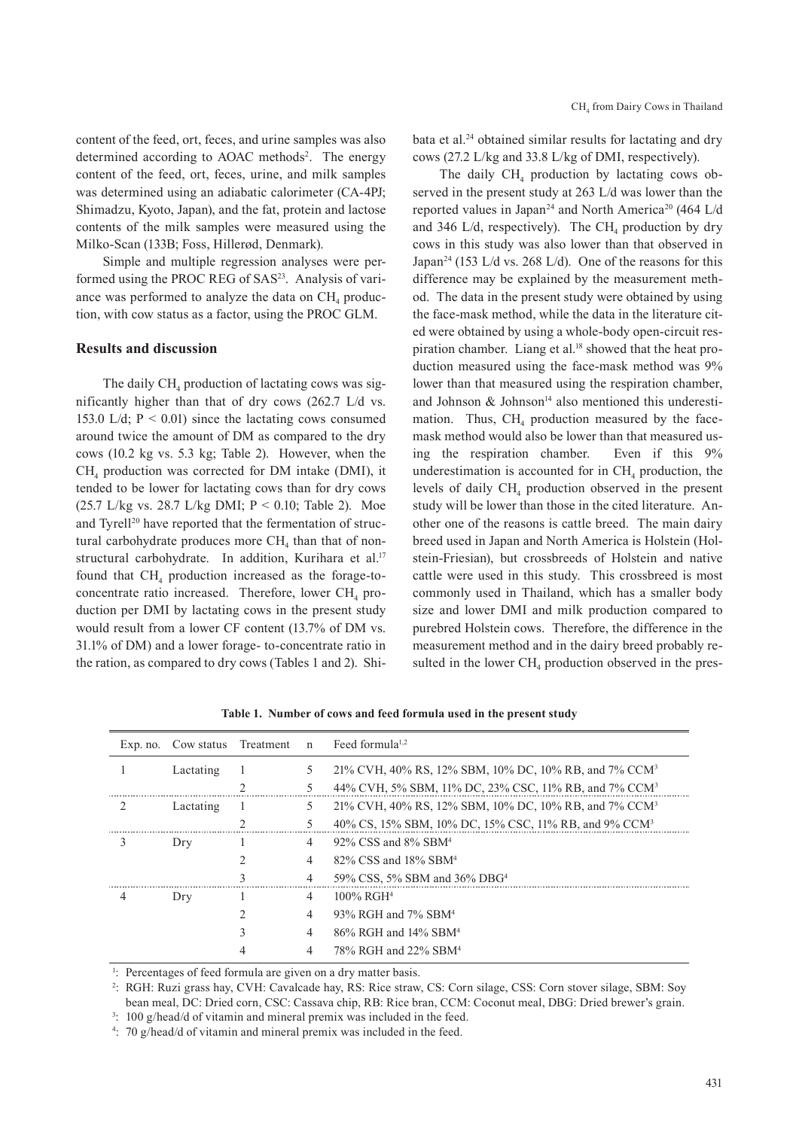content of the feed, ort, feces, and urine samples was also determined according to AOAC methods<sup>2</sup>. The energy content of the feed, ort, feces, urine, and milk samples was determined using an adiabatic calorimeter (CA-4PJ; Shimadzu, Kyoto, Japan), and the fat, protein and lactose contents of the milk samples were measured using the Milko-Scan (133B; Foss, Hillerød, Denmark).

Simple and multiple regression analyses were performed using the PROC REG of SAS<sup>23</sup>. Analysis of variance was performed to analyze the data on  $CH<sub>4</sub>$  production, with cow status as a factor, using the PROC GLM.

#### **Results and discussion**

The daily  $CH<sub>4</sub>$  production of lactating cows was significantly higher than that of dry cows (262.7 L/d vs. 153.0 L/d;  $P < 0.01$ ) since the lactating cows consumed around twice the amount of DM as compared to the dry cows (10.2 kg vs. 5.3 kg; Table 2). However, when the  $CH<sub>4</sub>$  production was corrected for DM intake (DMI), it tended to be lower for lactating cows than for dry cows (25.7 L/kg vs. 28.7 L/kg DMI; P < 0.10; Table 2). Moe and Tyrell<sup>20</sup> have reported that the fermentation of structural carbohydrate produces more  $CH<sub>4</sub>$  than that of nonstructural carbohydrate. In addition, Kurihara et al.<sup>17</sup> found that  $CH<sub>4</sub>$  production increased as the forage-toconcentrate ratio increased. Therefore, lower  $CH<sub>4</sub>$  production per DMI by lactating cows in the present study would result from a lower CF content (13.7% of DM vs. 31.1% of DM) and a lower forage- to-concentrate ratio in the ration, as compared to dry cows (Tables 1 and 2). Shibata et al.<sup>24</sup> obtained similar results for lactating and dry cows (27.2 L/kg and 33.8 L/kg of DMI, respectively).

The daily  $CH<sub>4</sub>$  production by lactating cows observed in the present study at 263 L/d was lower than the reported values in Japan<sup>24</sup> and North America<sup>20</sup> (464 L/d) and 346 L/d, respectively). The CH<sub>4</sub> production by dry cows in this study was also lower than that observed in Japan<sup>24</sup> (153 L/d vs. 268 L/d). One of the reasons for this difference may be explained by the measurement method. The data in the present study were obtained by using the face-mask method, while the data in the literature cited were obtained by using a whole-body open-circuit respiration chamber. Liang et al.<sup>18</sup> showed that the heat production measured using the face-mask method was 9% lower than that measured using the respiration chamber, and Johnson  $&$  Johnson<sup>14</sup> also mentioned this underestimation. Thus,  $CH<sub>4</sub>$  production measured by the facemask method would also be lower than that measured using the respiration chamber. Even if this 9% underestimation is accounted for in  $CH<sub>4</sub>$  production, the levels of daily  $CH<sub>4</sub>$  production observed in the present study will be lower than those in the cited literature. Another one of the reasons is cattle breed. The main dairy breed used in Japan and North America is Holstein (Holstein-Friesian), but crossbreeds of Holstein and native cattle were used in this study. This crossbreed is most commonly used in Thailand, which has a smaller body size and lower DMI and milk production compared to purebred Holstein cows. Therefore, the difference in the measurement method and in the dairy breed probably resulted in the lower  $CH<sub>4</sub>$  production observed in the pres-

**Table 1. Number of cows and feed formula used in the present study**

| Exp. no.      | Cow status Treatment |   | $\mathbf n$    | Feed formula <sup><math>1,2</math></sup>                          |
|---------------|----------------------|---|----------------|-------------------------------------------------------------------|
|               | Lactating            |   | 5.             | 21% CVH, 40% RS, 12% SBM, 10% DC, 10% RB, and 7% CCM <sup>3</sup> |
|               |                      | ↑ | 5.             | 44% CVH, 5% SBM, 11% DC, 23% CSC, 11% RB, and 7% CCM <sup>3</sup> |
| $\mathcal{L}$ | Lactating            |   | 5              | 21% CVH, 40% RS, 12% SBM, 10% DC, 10% RB, and 7% CCM <sup>3</sup> |
|               |                      | ↑ | 5.             | 40% CS, 15% SBM, 10% DC, 15% CSC, 11% RB, and 9% CCM <sup>3</sup> |
| 3             | Drv                  |   | $\overline{4}$ | 92% CSS and 8% SBM <sup>4</sup>                                   |
|               |                      |   | 4              | 82% CSS and 18% SBM <sup>4</sup>                                  |
|               |                      |   | $\overline{4}$ | 59% CSS, 5% SBM and 36% DBG <sup>4</sup>                          |
| 4             | Drv                  |   | $\overline{4}$ | $100\%$ RGH <sup>4</sup>                                          |
|               |                      | 2 | $\overline{4}$ | 93% RGH and 7% SBM <sup>4</sup>                                   |
|               |                      |   | $\overline{4}$ | 86% RGH and 14% SBM <sup>4</sup>                                  |
|               |                      |   | 4              | 78% RGH and 22% SBM <sup>4</sup>                                  |

1 : Percentages of feed formula are given on a dry matter basis.

2 : RGH: Ruzi grass hay, CVH: Cavalcade hay, RS: Rice straw, CS: Corn silage, CSS: Corn stover silage, SBM: Soy bean meal, DC: Dried corn, CSC: Cassava chip, RB: Rice bran, CCM: Coconut meal, DBG: Dried brewer's grain.

<sup>3</sup>: 100 g/head/d of vitamin and mineral premix was included in the feed.

4 : 70 g/head/d of vitamin and mineral premix was included in the feed.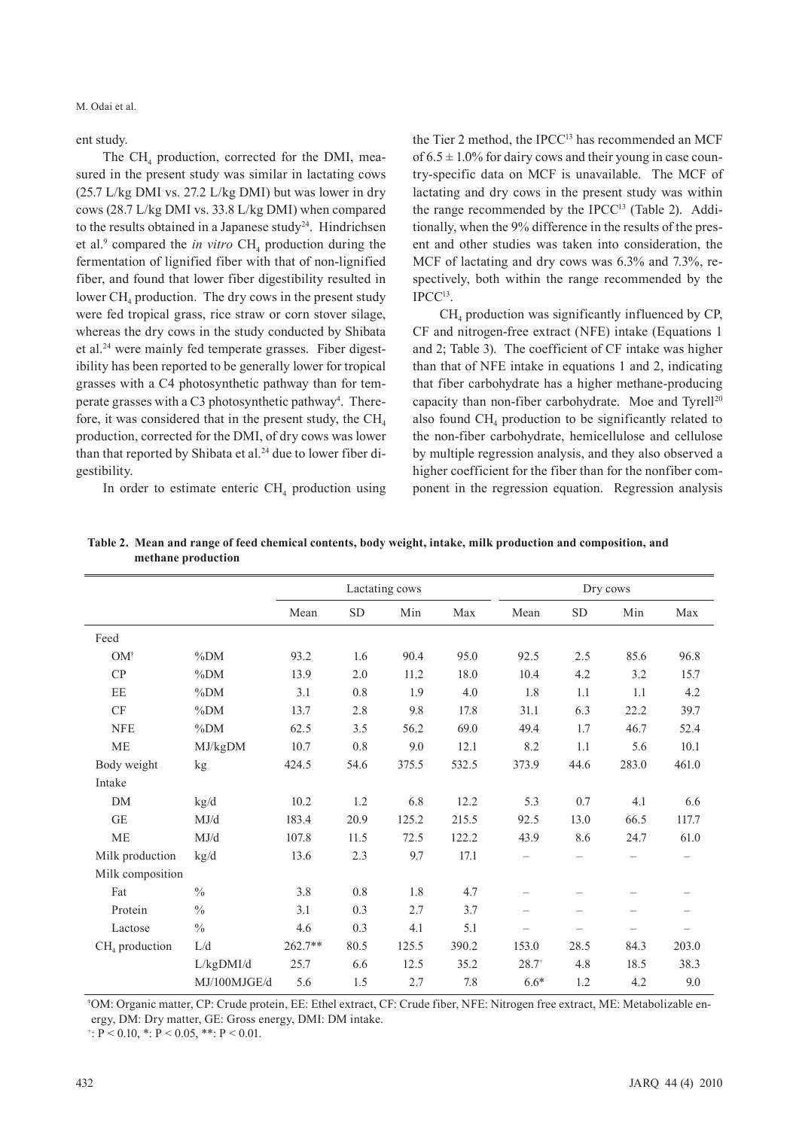M. Odai et al.

ent study.

The CH<sub>4</sub> production, corrected for the DMI, measured in the present study was similar in lactating cows (25.7 L/kg DMI vs. 27.2 L/kg DMI) but was lower in dry cows (28.7 L/kg DMI vs. 33.8 L/kg DMI) when compared to the results obtained in a Japanese study<sup>24</sup>. Hindrichsen et al.<sup>9</sup> compared the *in vitro*  $CH<sub>4</sub>$  production during the fermentation of lignified fiber with that of non-lignified fiber, and found that lower fiber digestibility resulted in lower  $CH<sub>4</sub>$  production. The dry cows in the present study were fed tropical grass, rice straw or corn stover silage, whereas the dry cows in the study conducted by Shibata et al.24 were mainly fed temperate grasses. Fiber digestibility has been reported to be generally lower for tropical grasses with a C4 photosynthetic pathway than for temperate grasses with a C3 photosynthetic pathway<sup>4</sup>. Therefore, it was considered that in the present study, the  $CH<sub>4</sub>$ production, corrected for the DMI, of dry cows was lower than that reported by Shibata et al.<sup>24</sup> due to lower fiber digestibility.

In order to estimate enteric  $CH<sub>4</sub>$  production using

the Tier 2 method, the IPCC<sup>13</sup> has recommended an MCF of  $6.5 \pm 1.0\%$  for dairy cows and their young in case country-specific data on MCF is unavailable. The MCF of lactating and dry cows in the present study was within the range recommended by the IPCC<sup>13</sup> (Table 2). Additionally, when the 9% difference in the results of the present and other studies was taken into consideration, the MCF of lactating and dry cows was 6.3% and 7.3%, respectively, both within the range recommended by the IPCC13.

 $CH<sub>4</sub>$  production was significantly influenced by CP, CF and nitrogen-free extract (NFE) intake (Equations 1 and 2; Table 3). The coefficient of CF intake was higher than that of NFE intake in equations 1 and 2, indicating that fiber carbohydrate has a higher methane-producing capacity than non-fiber carbohydrate. Moe and Tyrell<sup>20</sup> also found  $CH<sub>4</sub>$  production to be significantly related to the non-fiber carbohydrate, hemicellulose and cellulose by multiple regression analysis, and they also observed a higher coefficient for the fiber than for the nonfiber component in the regression equation. Regression analysis

|                  |                                                   |           |           | Lactating cows |       |                          |           |       |       |
|------------------|---------------------------------------------------|-----------|-----------|----------------|-------|--------------------------|-----------|-------|-------|
|                  |                                                   | Mean      | <b>SD</b> | Min            | Max   | Mean                     | <b>SD</b> | Min   | Max   |
| Feed             |                                                   |           |           |                |       |                          |           |       |       |
| $OM^{\dagger}$   | $\%DM$                                            | 93.2      | 1.6       | 90.4           | 95.0  | 92.5                     | 2.5       | 85.6  | 96.8  |
| CP               | $\%DM$                                            | 13.9      | 2.0       | 11.2           | 18.0  | 10.4                     | 4.2       | 3.2   | 15.7  |
| EE               | $\%DM$                                            | 3.1       | 0.8       | 1.9            | 4.0   | 1.8                      | 1.1       | 1.1   | 4.2   |
| CF               | $\%DM$                                            | 13.7      | 2.8       | 9.8            | 17.8  | 31.1                     | 6.3       | 22.2  | 39.7  |
| <b>NFE</b>       | $\%DM$                                            | 62.5      | 3.5       | 56.2           | 69.0  | 49.4                     | 1.7       | 46.7  | 52.4  |
| <b>ME</b>        | MJ/kgDM                                           | 10.7      | 0.8       | 9.0            | 12.1  | 8.2                      | 1.1       | 5.6   | 10.1  |
| Body weight      | kg                                                | 424.5     | 54.6      | 375.5          | 532.5 | 373.9                    | 44.6      | 283.0 | 461.0 |
| Intake           |                                                   |           |           |                |       |                          |           |       |       |
| <b>DM</b>        | kg/d                                              | 10.2      | 1.2       | 6.8            | 12.2  | 5.3                      | 0.7       | 4.1   | 6.6   |
| <b>GE</b>        | MJ/d                                              | 183.4     | 20.9      | 125.2          | 215.5 | 92.5                     | 13.0      | 66.5  | 117.7 |
| <b>ME</b>        | MJ/d                                              | 107.8     | 11.5      | 72.5           | 122.2 | 43.9                     | 8.6       | 24.7  | 61.0  |
| Milk production  | kg/d                                              | 13.6      | 2.3       | 9.7            | 17.1  | $\qquad \qquad -$        |           |       |       |
| Milk composition |                                                   |           |           |                |       |                          |           |       |       |
| Fat              | $\frac{0}{0}$                                     | 3.8       | 0.8       | 1.8            | 4.7   |                          |           |       |       |
| Protein          | $\frac{0}{0}$                                     | 3.1       | 0.3       | 2.7            | 3.7   | $\overline{\phantom{0}}$ |           |       |       |
| Lactose          | $\frac{0}{0}$                                     | 4.6       | 0.3       | 4.1            | 5.1   |                          |           |       |       |
| $CH4$ production | $\mathop{\rm L}\nolimits/\mathop{\rm d}\nolimits$ | $262.7**$ | 80.5      | 125.5          | 390.2 | 153.0                    | 28.5      | 84.3  | 203.0 |
|                  | L/kgDMI/d                                         | 25.7      | 6.6       | 12.5           | 35.2  | $28.7^{+}$               | 4.8       | 18.5  | 38.3  |
|                  | MJ/100MJGE/d                                      | 5.6       | 1.5       | 2.7            | 7.8   | $6.6*$                   | 1.2       | 4.2   | 9.0   |

**Table 2. Mean and range of feed chemical contents, body weight, intake, milk production and composition, and methane production**

† OM: Organic matter, CP: Crude protein, EE: Ethel extract, CF: Crude fiber, NFE: Nitrogen free extract, ME: Metabolizable energy, DM: Dry matter, GE: Gross energy, DMI: DM intake.

 $\div: P < 0.10, \div: P < 0.05, \div: P < 0.01.$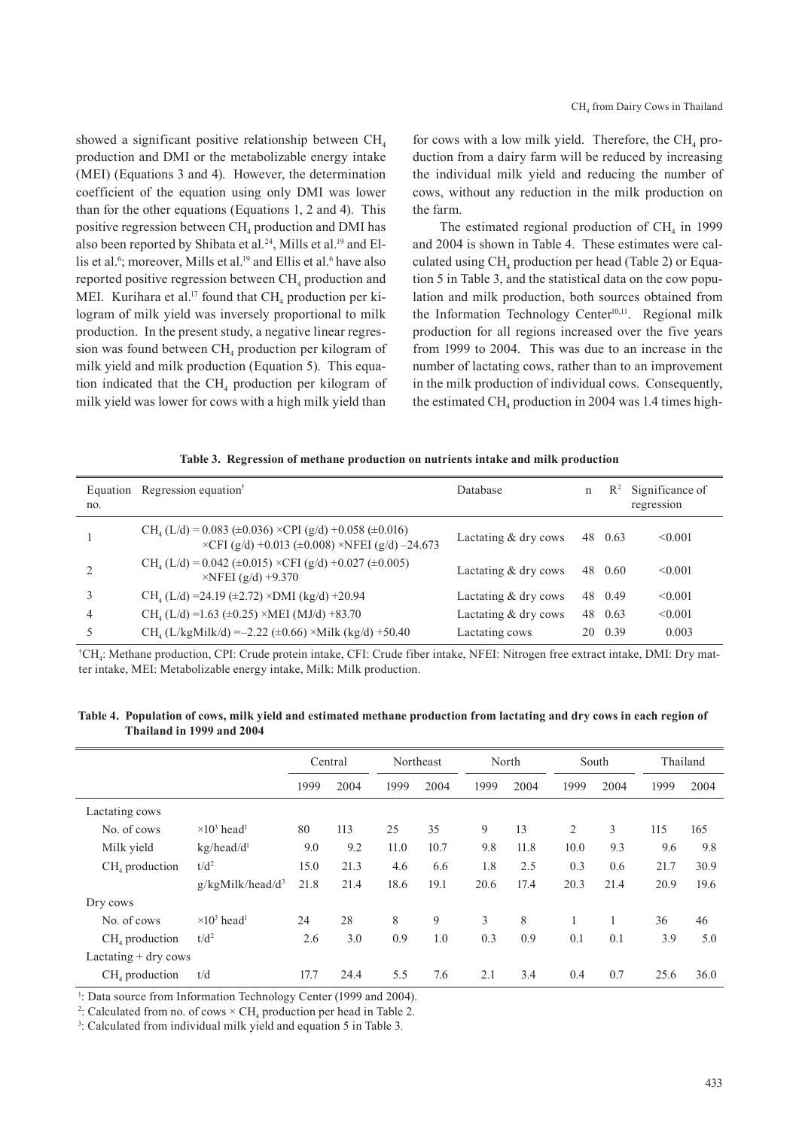showed a significant positive relationship between  $CH<sub>4</sub>$ production and DMI or the metabolizable energy intake (MEI) (Equations 3 and 4). However, the determination coefficient of the equation using only DMI was lower than for the other equations (Equations 1, 2 and 4). This positive regression between  $CH<sub>4</sub>$  production and DMI has also been reported by Shibata et al.<sup>24</sup>, Mills et al.<sup>19</sup> and Ellis et al. $\degree$ ; moreover, Mills et al. $\degree$  and Ellis et al. $\degree$  have also reported positive regression between CH<sub>4</sub> production and MEI. Kurihara et al.<sup>17</sup> found that  $CH<sub>4</sub>$  production per kilogram of milk yield was inversely proportional to milk production. In the present study, a negative linear regression was found between  $CH<sub>4</sub>$  production per kilogram of milk yield and milk production (Equation 5). This equation indicated that the  $CH<sub>4</sub>$  production per kilogram of milk yield was lower for cows with a high milk yield than

for cows with a low milk yield. Therefore, the  $CH<sub>4</sub>$  production from a dairy farm will be reduced by increasing the individual milk yield and reducing the number of cows, without any reduction in the milk production on the farm.

The estimated regional production of  $CH<sub>4</sub>$  in 1999 and 2004 is shown in Table 4. These estimates were calculated using  $CH_4$  production per head (Table 2) or Equation 5 in Table 3, and the statistical data on the cow population and milk production, both sources obtained from the Information Technology Center<sup>10,11</sup>. Regional milk production for all regions increased over the five years from 1999 to 2004. This was due to an increase in the number of lactating cows, rather than to an improvement in the milk production of individual cows. Consequently, the estimated CH<sub>4</sub> production in 2004 was 1.4 times high-

| Table 3. Regression of methane production on nutrients intake and milk production |  |  |  |  |  |  |  |
|-----------------------------------------------------------------------------------|--|--|--|--|--|--|--|
|-----------------------------------------------------------------------------------|--|--|--|--|--|--|--|

| no. | Equation Regression equation <sup>†</sup>                                                                                              | Database               | n | $\mathbb{R}^2$ | Significance of<br>regression |
|-----|----------------------------------------------------------------------------------------------------------------------------------------|------------------------|---|----------------|-------------------------------|
|     | $CH4 (L/d) = 0.083 (\pm 0.036) \times CPU (g/d) + 0.058 (\pm 0.016)$<br>$\times$ CFI (g/d) +0.013 (±0.008) $\times$ NFEI (g/d) -24.673 | Lactating $&$ dry cows |   | 48 0.63        | < 0.001                       |
|     | $CH4 (L/d) = 0.042 (\pm 0.015) \times CFI (g/d) + 0.027 (\pm 0.005)$<br>$\times$ NFEI (g/d) +9.370                                     | Lactating $&$ dry cows |   | 48 0.60        | < 0.001                       |
|     | $CH4 (L/d) = 24.19 (\pm 2.72) \times DMI (kg/d) + 20.94$                                                                               | Lactating $&$ dry cows |   | 48 0.49        | < 0.001                       |
| 4   | $CH4 (L/d) = 1.63 \ (\pm 0.25) \times MEI (MJ/d) + 83.70$                                                                              | Lactating $&$ dry cows |   | 48 0.63        | < 0.001                       |
|     | $CH4$ (L/kgMilk/d) = -2.22 (±0.66) ×Milk (kg/d) +50.40                                                                                 | Lactating cows         |   | 20 0.39        | 0.003                         |

† CH4: Methane production, CPI: Crude protein intake, CFI: Crude fiber intake, NFEI: Nitrogen free extract intake, DMI: Dry matter intake, MEI: Metabolizable energy intake, Milk: Milk production.

**Table 4. Population of cows, milk yield and estimated methane production from lactating and dry cows in each region of Thailand in 1999 and 2004**

|                        |                                            | Central |      | Northeast |      | North |      | South          |      | Thailand |      |
|------------------------|--------------------------------------------|---------|------|-----------|------|-------|------|----------------|------|----------|------|
|                        |                                            | 1999    | 2004 | 1999      | 2004 | 1999  | 2004 | 1999           | 2004 | 1999     | 2004 |
| Lactating cows         |                                            |         |      |           |      |       |      |                |      |          |      |
| No. of cows            | $\times$ 10 <sup>3</sup> head <sup>1</sup> | 80      | 113  | 25        | 35   | 9     | 13   | $\overline{2}$ | 3    | 115      | 165  |
| Milk yield             | kg/head/d <sup>1</sup>                     | 9.0     | 9.2  | 11.0      | 10.7 | 9.8   | 11.8 | 10.0           | 9.3  | 9.6      | 9.8  |
| $CH4$ production       | $t/d^2$                                    | 15.0    | 21.3 | 4.6       | 6.6  | 1.8   | 2.5  | 0.3            | 0.6  | 21.7     | 30.9 |
|                        | $g/kgMilk/head/d^3$                        | 21.8    | 21.4 | 18.6      | 19.1 | 20.6  | 17.4 | 20.3           | 21.4 | 20.9     | 19.6 |
| Dry cows               |                                            |         |      |           |      |       |      |                |      |          |      |
| No. of cows            | $\times$ 10 <sup>3</sup> head <sup>1</sup> | 24      | 28   | 8         | 9    | 3     | 8    |                |      | 36       | 46   |
| $CH4$ production       | $t/d^2$                                    | 2.6     | 3.0  | 0.9       | 1.0  | 0.3   | 0.9  | 0.1            | 0.1  | 3.9      | 5.0  |
| Lactating $+$ dry cows |                                            |         |      |           |      |       |      |                |      |          |      |
| $CH4$ production       | t/d                                        | 17.7    | 24.4 | 5.5       | 7.6  | 2.1   | 3.4  | 0.4            | 0.7  | 25.6     | 36.0 |

<sup>1</sup>: Data source from Information Technology Center (1999 and 2004).

<sup>2</sup>: Calculated from no. of cows  $\times$  CH<sub>4</sub> production per head in Table 2.

3 : Calculated from individual milk yield and equation 5 in Table 3.